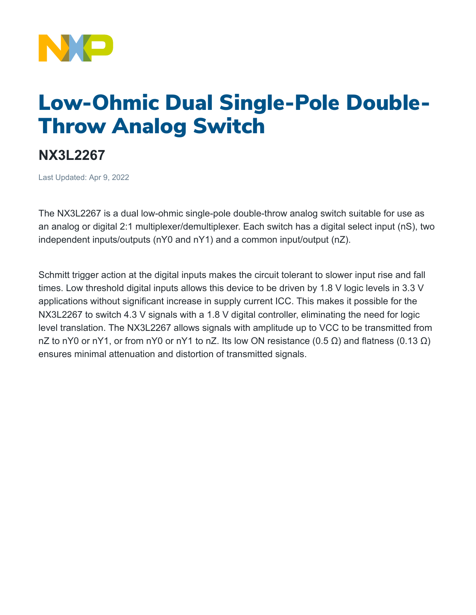

## Low-Ohmic Dual Single-Pole Double-Throw Analog Switch

## **NX3L2267**

Last Updated: Apr 9, 2022

The NX3L2267 is a dual low-ohmic single-pole double-throw analog switch suitable for use as an analog or digital 2:1 multiplexer/demultiplexer. Each switch has a digital select input (nS), two independent inputs/outputs (nY0 and nY1) and a common input/output (nZ).

Schmitt trigger action at the digital inputs makes the circuit tolerant to slower input rise and fall times. Low threshold digital inputs allows this device to be driven by 1.8 V logic levels in 3.3 V applications without significant increase in supply current ICC. This makes it possible for the NX3L2267 to switch 4.3 V signals with a 1.8 V digital controller, eliminating the need for logic level translation. The NX3L2267 allows signals with amplitude up to VCC to be transmitted from nZ to nY0 or nY1, or from nY0 or nY1 to nZ. Its low ON resistance (0.5 Ω) and flatness (0.13 Ω) ensures minimal attenuation and distortion of transmitted signals.